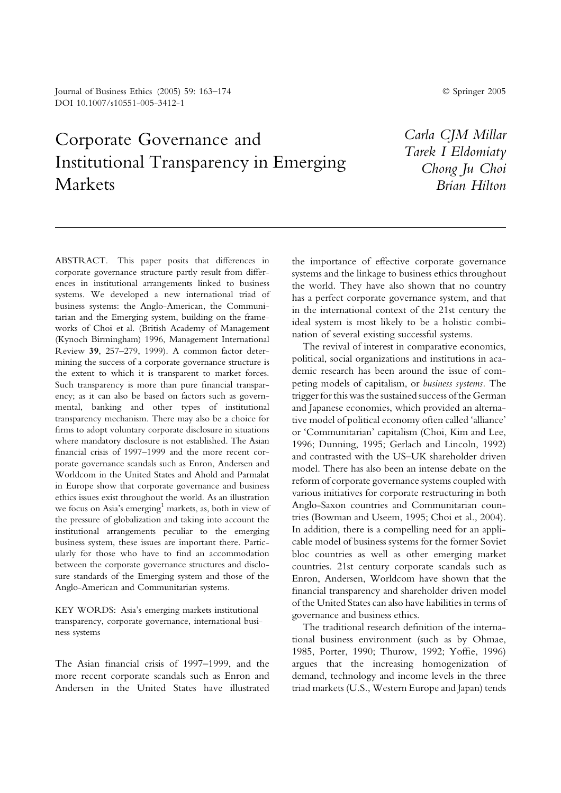Journal of Business Ethics  $(2005)$  59: 163–174  $\circ$  Springer 2005 DOI 10.1007/s10551-005-3412-1

# Corporate Governance and Institutional Transparency in Emerging Markets

Carla CJM Millar Tarek I Eldomiaty Chong Ju Choi Brian Hilton

ABSTRACT. This paper posits that differences in corporate governance structure partly result from differences in institutional arrangements linked to business systems. We developed a new international triad of business systems: the Anglo-American, the Communitarian and the Emerging system, building on the frameworks of Choi et al. (British Academy of Management (Kynoch Birmingham) 1996, Management International Review 39, 257–279, 1999). A common factor determining the success of a corporate governance structure is the extent to which it is transparent to market forces. Such transparency is more than pure financial transparency; as it can also be based on factors such as governmental, banking and other types of institutional transparency mechanism. There may also be a choice for firms to adopt voluntary corporate disclosure in situations where mandatory disclosure is not established. The Asian financial crisis of 1997–1999 and the more recent corporate governance scandals such as Enron, Andersen and Worldcom in the United States and Ahold and Parmalat in Europe show that corporate governance and business ethics issues exist throughout the world. As an illustration we focus on Asia's emerging<sup>1</sup> markets, as, both in view of the pressure of globalization and taking into account the institutional arrangements peculiar to the emerging business system, these issues are important there. Particularly for those who have to find an accommodation between the corporate governance structures and disclosure standards of the Emerging system and those of the Anglo-American and Communitarian systems.

KEY WORDS: Asia's emerging markets institutional transparency, corporate governance, international business systems

The Asian financial crisis of 1997–1999, and the more recent corporate scandals such as Enron and Andersen in the United States have illustrated

the importance of effective corporate governance systems and the linkage to business ethics throughout the world. They have also shown that no country has a perfect corporate governance system, and that in the international context of the 21st century the ideal system is most likely to be a holistic combination of several existing successful systems.

The revival of interest in comparative economics, political, social organizations and institutions in academic research has been around the issue of competing models of capitalism, or business systems. The trigger for this was the sustained success of the German and Japanese economies, which provided an alternative model of political economy often called 'alliance' or 'Communitarian' capitalism (Choi, Kim and Lee, 1996; Dunning, 1995; Gerlach and Lincoln, 1992) and contrasted with the US–UK shareholder driven model. There has also been an intense debate on the reform of corporate governance systems coupled with various initiatives for corporate restructuring in both Anglo-Saxon countries and Communitarian countries (Bowman and Useem, 1995; Choi et al., 2004). In addition, there is a compelling need for an applicable model of business systems for the former Soviet bloc countries as well as other emerging market countries. 21st century corporate scandals such as Enron, Andersen, Worldcom have shown that the financial transparency and shareholder driven model of the United States can also have liabilities in terms of governance and business ethics.

The traditional research definition of the international business environment (such as by Ohmae, 1985, Porter, 1990; Thurow, 1992; Yoffie, 1996) argues that the increasing homogenization of demand, technology and income levels in the three triad markets (U.S., Western Europe and Japan) tends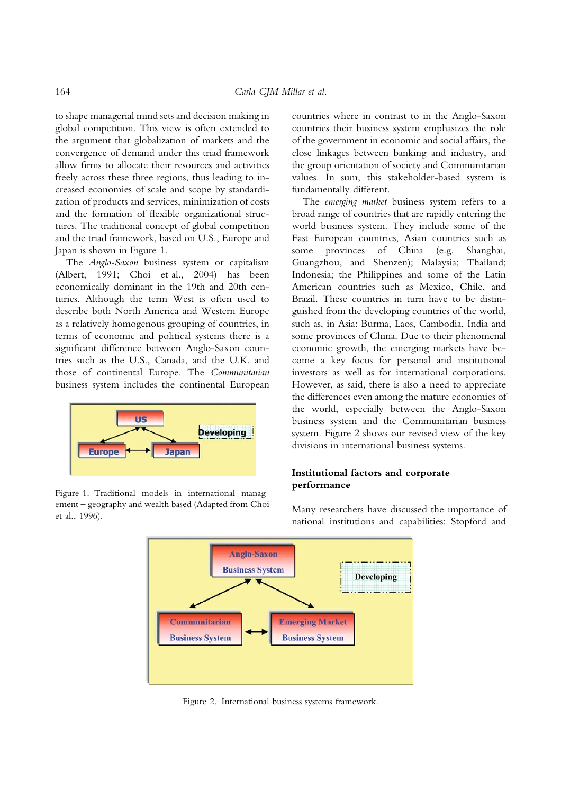to shape managerial mind sets and decision making in global competition. This view is often extended to the argument that globalization of markets and the convergence of demand under this triad framework allow firms to allocate their resources and activities freely across these three regions, thus leading to increased economies of scale and scope by standardization of products and services, minimization of costs and the formation of flexible organizational structures. The traditional concept of global competition and the triad framework, based on U.S., Europe and Japan is shown in Figure 1.

The Anglo-Saxon business system or capitalism (Albert, 1991; Choi et al., 2004) has been economically dominant in the 19th and 20th centuries. Although the term West is often used to describe both North America and Western Europe as a relatively homogenous grouping of countries, in terms of economic and political systems there is a significant difference between Anglo-Saxon countries such as the U.S., Canada, and the U.K. and those of continental Europe. The Communitarian business system includes the continental European



Figure 1. Traditional models in international management – geography and wealth based (Adapted from Choi et al., 1996).

countries where in contrast to in the Anglo-Saxon countries their business system emphasizes the role of the government in economic and social affairs, the close linkages between banking and industry, and the group orientation of society and Communitarian values. In sum, this stakeholder-based system is fundamentally different.

The emerging market business system refers to a broad range of countries that are rapidly entering the world business system. They include some of the East European countries, Asian countries such as some provinces of China (e.g. Shanghai, Guangzhou, and Shenzen); Malaysia; Thailand; Indonesia; the Philippines and some of the Latin American countries such as Mexico, Chile, and Brazil. These countries in turn have to be distinguished from the developing countries of the world, such as, in Asia: Burma, Laos, Cambodia, India and some provinces of China. Due to their phenomenal economic growth, the emerging markets have become a key focus for personal and institutional investors as well as for international corporations. However, as said, there is also a need to appreciate the differences even among the mature economies of the world, especially between the Anglo-Saxon business system and the Communitarian business system. Figure 2 shows our revised view of the key divisions in international business systems.

## Institutional factors and corporate performance



Many researchers have discussed the importance of national institutions and capabilities: Stopford and

Figure 2. International business systems framework.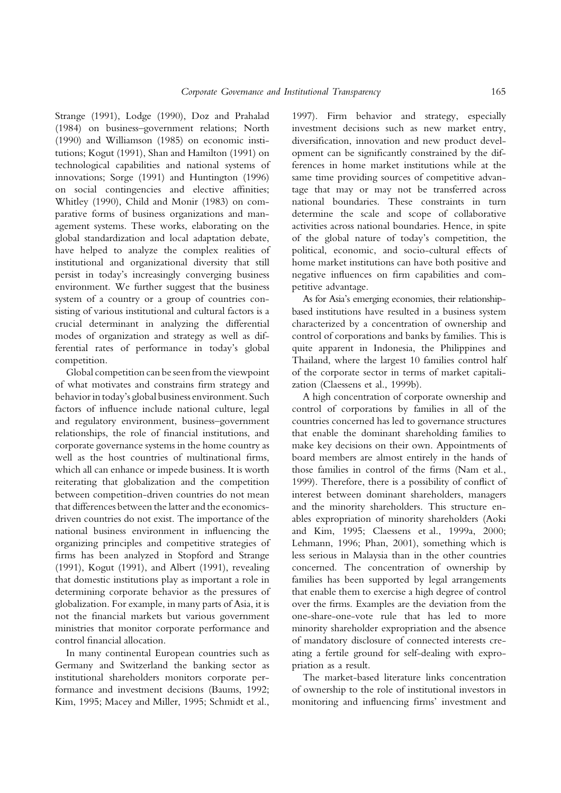Strange (1991), Lodge (1990), Doz and Prahalad (1984) on business–government relations; North (1990) and Williamson (1985) on economic institutions; Kogut (1991), Shan and Hamilton (1991) on technological capabilities and national systems of innovations; Sorge (1991) and Huntington (1996) on social contingencies and elective affinities; Whitley (1990), Child and Monir (1983) on comparative forms of business organizations and management systems. These works, elaborating on the global standardization and local adaptation debate, have helped to analyze the complex realities of institutional and organizational diversity that still persist in today's increasingly converging business environment. We further suggest that the business system of a country or a group of countries consisting of various institutional and cultural factors is a crucial determinant in analyzing the differential modes of organization and strategy as well as differential rates of performance in today's global competition.

Global competition can be seen from the viewpoint of what motivates and constrains firm strategy and behavior in today's global business environment. Such factors of influence include national culture, legal and regulatory environment, business–government relationships, the role of financial institutions, and corporate governance systems in the home country as well as the host countries of multinational firms, which all can enhance or impede business. It is worth reiterating that globalization and the competition between competition-driven countries do not mean that differences between the latter and the economicsdriven countries do not exist. The importance of the national business environment in influencing the organizing principles and competitive strategies of firms has been analyzed in Stopford and Strange (1991), Kogut (1991), and Albert (1991), revealing that domestic institutions play as important a role in determining corporate behavior as the pressures of globalization. For example, in many parts of Asia, it is not the financial markets but various government ministries that monitor corporate performance and control financial allocation.

In many continental European countries such as Germany and Switzerland the banking sector as institutional shareholders monitors corporate performance and investment decisions (Baums, 1992; Kim, 1995; Macey and Miller, 1995; Schmidt et al.,

1997). Firm behavior and strategy, especially investment decisions such as new market entry, diversification, innovation and new product development can be significantly constrained by the differences in home market institutions while at the same time providing sources of competitive advantage that may or may not be transferred across national boundaries. These constraints in turn determine the scale and scope of collaborative activities across national boundaries. Hence, in spite of the global nature of today's competition, the political, economic, and socio-cultural effects of home market institutions can have both positive and negative influences on firm capabilities and competitive advantage.

As for Asia's emerging economies, their relationshipbased institutions have resulted in a business system characterized by a concentration of ownership and control of corporations and banks by families. This is quite apparent in Indonesia, the Philippines and Thailand, where the largest 10 families control half of the corporate sector in terms of market capitalization (Claessens et al., 1999b).

A high concentration of corporate ownership and control of corporations by families in all of the countries concerned has led to governance structures that enable the dominant shareholding families to make key decisions on their own. Appointments of board members are almost entirely in the hands of those families in control of the firms (Nam et al., 1999). Therefore, there is a possibility of conflict of interest between dominant shareholders, managers and the minority shareholders. This structure enables expropriation of minority shareholders (Aoki and Kim, 1995; Claessens et al., 1999a, 2000; Lehmann, 1996; Phan, 2001), something which is less serious in Malaysia than in the other countries concerned. The concentration of ownership by families has been supported by legal arrangements that enable them to exercise a high degree of control over the firms. Examples are the deviation from the one-share-one-vote rule that has led to more minority shareholder expropriation and the absence of mandatory disclosure of connected interests creating a fertile ground for self-dealing with expropriation as a result.

The market-based literature links concentration of ownership to the role of institutional investors in monitoring and influencing firms' investment and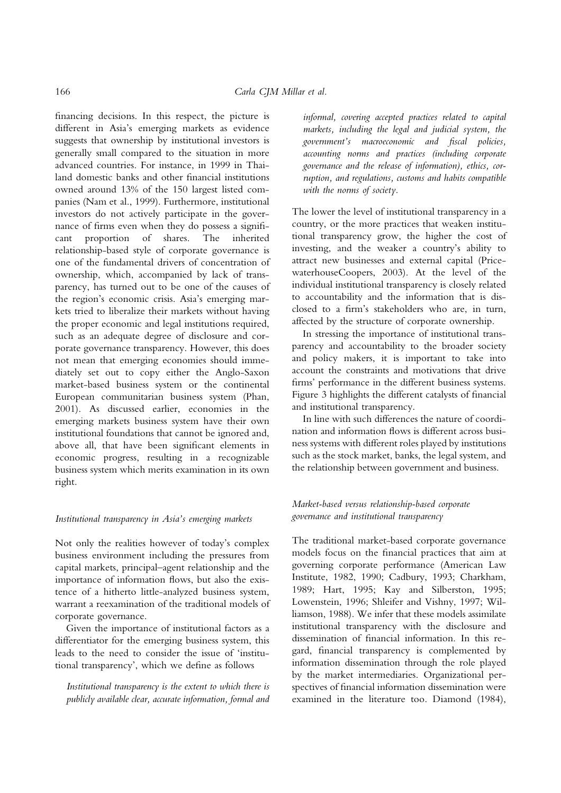financing decisions. In this respect, the picture is different in Asia's emerging markets as evidence suggests that ownership by institutional investors is generally small compared to the situation in more advanced countries. For instance, in 1999 in Thailand domestic banks and other financial institutions owned around 13% of the 150 largest listed companies (Nam et al., 1999). Furthermore, institutional investors do not actively participate in the governance of firms even when they do possess a significant proportion of shares. The inherited relationship-based style of corporate governance is one of the fundamental drivers of concentration of ownership, which, accompanied by lack of transparency, has turned out to be one of the causes of the region's economic crisis. Asia's emerging markets tried to liberalize their markets without having the proper economic and legal institutions required, such as an adequate degree of disclosure and corporate governance transparency. However, this does not mean that emerging economies should immediately set out to copy either the Anglo-Saxon market-based business system or the continental European communitarian business system (Phan, 2001). As discussed earlier, economies in the emerging markets business system have their own institutional foundations that cannot be ignored and, above all, that have been significant elements in economic progress, resulting in a recognizable business system which merits examination in its own right.

### Institutional transparency in Asia's emerging markets

Not only the realities however of today's complex business environment including the pressures from capital markets, principal–agent relationship and the importance of information flows, but also the existence of a hitherto little-analyzed business system, warrant a reexamination of the traditional models of corporate governance.

Given the importance of institutional factors as a differentiator for the emerging business system, this leads to the need to consider the issue of 'institutional transparency', which we define as follows

Institutional transparency is the extent to which there is publicly available clear, accurate information, formal and

informal, covering accepted practices related to capital markets, including the legal and judicial system, the government's macroeconomic and fiscal policies, accounting norms and practices (including corporate governance and the release of information), ethics, corruption, and regulations, customs and habits compatible with the norms of society.

The lower the level of institutional transparency in a country, or the more practices that weaken institutional transparency grow, the higher the cost of investing, and the weaker a country's ability to attract new businesses and external capital (PricewaterhouseCoopers, 2003). At the level of the individual institutional transparency is closely related to accountability and the information that is disclosed to a firm's stakeholders who are, in turn, affected by the structure of corporate ownership.

In stressing the importance of institutional transparency and accountability to the broader society and policy makers, it is important to take into account the constraints and motivations that drive firms' performance in the different business systems. Figure 3 highlights the different catalysts of financial and institutional transparency.

In line with such differences the nature of coordination and information flows is different across business systems with different roles played by institutions such as the stock market, banks, the legal system, and the relationship between government and business.

## Market-based versus relationship-based corporate governance and institutional transparency

The traditional market-based corporate governance models focus on the financial practices that aim at governing corporate performance (American Law Institute, 1982, 1990; Cadbury, 1993; Charkham, 1989; Hart, 1995; Kay and Silberston, 1995; Lowenstein, 1996; Shleifer and Vishny, 1997; Williamson, 1988). We infer that these models assimilate institutional transparency with the disclosure and dissemination of financial information. In this regard, financial transparency is complemented by information dissemination through the role played by the market intermediaries. Organizational perspectives of financial information dissemination were examined in the literature too. Diamond (1984),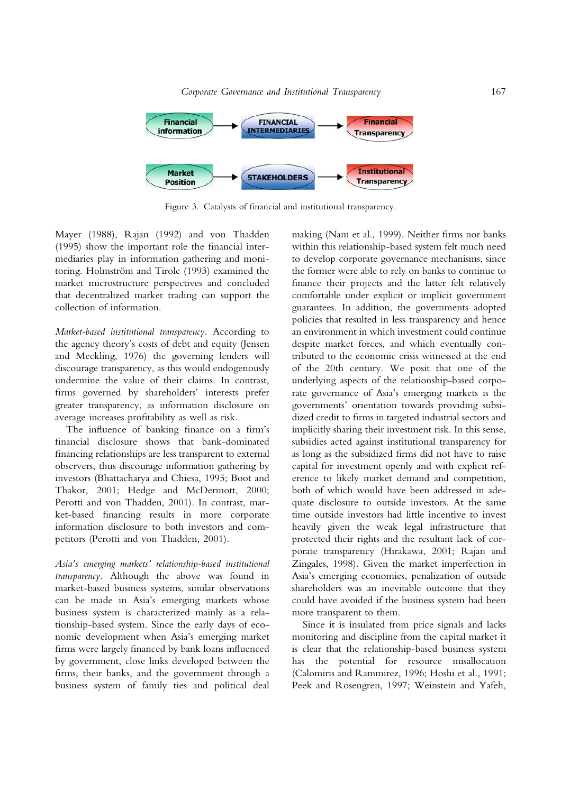

Figure 3. Catalysts of financial and institutional transparency.

Mayer (1988), Rajan (1992) and von Thadden (1995) show the important role the financial intermediaries play in information gathering and monitoring. Holmström and Tirole (1993) examined the market microstructure perspectives and concluded that decentralized market trading can support the collection of information.

Market-based institutional transparency. According to the agency theory's costs of debt and equity (Jensen and Meckling, 1976) the governing lenders will discourage transparency, as this would endogenously undermine the value of their claims. In contrast, firms governed by shareholders' interests prefer greater transparency, as information disclosure on average increases profitability as well as risk.

The influence of banking finance on a firm's financial disclosure shows that bank-dominated financing relationships are less transparent to external observers, thus discourage information gathering by investors (Bhattacharya and Chiesa, 1995; Boot and Thakor, 2001; Hedge and McDermott, 2000; Perotti and von Thadden, 2001). In contrast, market-based financing results in more corporate information disclosure to both investors and competitors (Perotti and von Thadden, 2001).

Asia's emerging markets' relationship-based institutional transparency. Although the above was found in market-based business systems, similar observations can be made in Asia's emerging markets whose business system is characterized mainly as a relationship-based system. Since the early days of economic development when Asia's emerging market firms were largely financed by bank loans influenced by government, close links developed between the firms, their banks, and the government through a business system of family ties and political deal making (Nam et al., 1999). Neither firms nor banks within this relationship-based system felt much need to develop corporate governance mechanisms, since the former were able to rely on banks to continue to finance their projects and the latter felt relatively comfortable under explicit or implicit government guarantees. In addition, the governments adopted policies that resulted in less transparency and hence an environment in which investment could continue despite market forces, and which eventually contributed to the economic crisis witnessed at the end of the 20th century. We posit that one of the underlying aspects of the relationship-based corporate governance of Asia's emerging markets is the governments' orientation towards providing subsidized credit to firms in targeted industrial sectors and implicitly sharing their investment risk. In this sense, subsidies acted against institutional transparency for as long as the subsidized firms did not have to raise capital for investment openly and with explicit reference to likely market demand and competition, both of which would have been addressed in adequate disclosure to outside investors. At the same time outside investors had little incentive to invest heavily given the weak legal infrastructure that protected their rights and the resultant lack of corporate transparency (Hirakawa, 2001; Rajan and Zingales, 1998). Given the market imperfection in Asia's emerging economies, penalization of outside shareholders was an inevitable outcome that they could have avoided if the business system had been more transparent to them.

Since it is insulated from price signals and lacks monitoring and discipline from the capital market it is clear that the relationship-based business system has the potential for resource misallocation (Calomiris and Rammirez, 1996; Hoshi et al., 1991; Peek and Rosengren, 1997; Weinstein and Yafeh,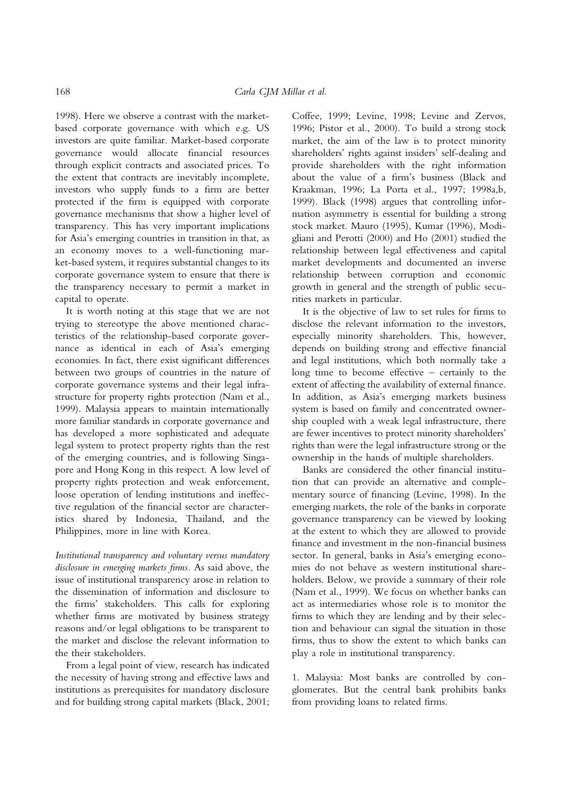1998). Here we observe a contrast with the marketbased corporate governance with which e.g. US investors are quite familiar. Market-based corporate governance would allocate financial resources through explicit contracts and associated prices. To the extent that contracts are inevitably incomplete, investors who supply funds to a firm are better protected if the firm is equipped with corporate governance mechanisms that show a higher level of transparency. This has very important implications for Asia's emerging countries in transition in that, as an economy moves to a well-functioning market-based system, it requires substantial changes to its corporate governance system to ensure that there is the transparency necessary to permit a market in capital to operate.

It is worth noting at this stage that we are not trying to stereotype the above mentioned characteristics of the relationship-based corporate governance as identical in each of Asia's emerging economies. In fact, there exist significant differences between two groups of countries in the nature of corporate governance systems and their legal infrastructure for property rights protection (Nam et al., 1999). Malaysia appears to maintain internationally more familiar standards in corporate governance and has developed a more sophisticated and adequate legal system to protect property rights than the rest of the emerging countries, and is following Singapore and Hong Kong in this respect. A low level of property rights protection and weak enforcement, loose operation of lending institutions and ineffective regulation of the financial sector are characteristics shared by Indonesia, Thailand, and the Philippines, more in line with Korea.

Institutional transparency and voluntary versus mandatory disclosure in emerging markets firms. As said above, the issue of institutional transparency arose in relation to the dissemination of information and disclosure to the firms' stakeholders. This calls for exploring whether firms are motivated by business strategy reasons and/or legal obligations to be transparent to the market and disclose the relevant information to the their stakeholders.

From a legal point of view, research has indicated the necessity of having strong and effective laws and institutions as prerequisites for mandatory disclosure and for building strong capital markets (Black, 2001; Coffee, 1999; Levine, 1998; Levine and Zervos, 1996; Pistor et al., 2000). To build a strong stock market, the aim of the law is to protect minority shareholders' rights against insiders' self-dealing and provide shareholders with the right information about the value of a firm's business (Black and Kraakman, 1996; La Porta et al., 1997; 1998a,b, 1999). Black (1998) argues that controlling information asymmetry is essential for building a strong stock market. Mauro (1995), Kumar (1996), Modigliani and Perotti (2000) and Ho (2001) studied the relationship between legal effectiveness and capital market developments and documented an inverse relationship between corruption and economic growth in general and the strength of public securities markets in particular.

It is the objective of law to set rules for firms to disclose the relevant information to the investors, especially minority shareholders. This, however, depends on building strong and effective financial and legal institutions, which both normally take a long time to become effective – certainly to the extent of affecting the availability of external finance. In addition, as Asia's emerging markets business system is based on family and concentrated ownership coupled with a weak legal infrastructure, there are fewer incentives to protect minority shareholders' rights than were the legal infrastructure strong or the ownership in the hands of multiple shareholders.

Banks are considered the other financial institution that can provide an alternative and complementary source of financing (Levine, 1998). In the emerging markets, the role of the banks in corporate governance transparency can be viewed by looking at the extent to which they are allowed to provide finance and investment in the non-financial business sector. In general, banks in Asia's emerging economies do not behave as western institutional shareholders. Below, we provide a summary of their role (Nam et al., 1999). We focus on whether banks can act as intermediaries whose role is to monitor the firms to which they are lending and by their selection and behaviour can signal the situation in those firms, thus to show the extent to which banks can play a role in institutional transparency.

1. Malaysia: Most banks are controlled by conglomerates. But the central bank prohibits banks from providing loans to related firms.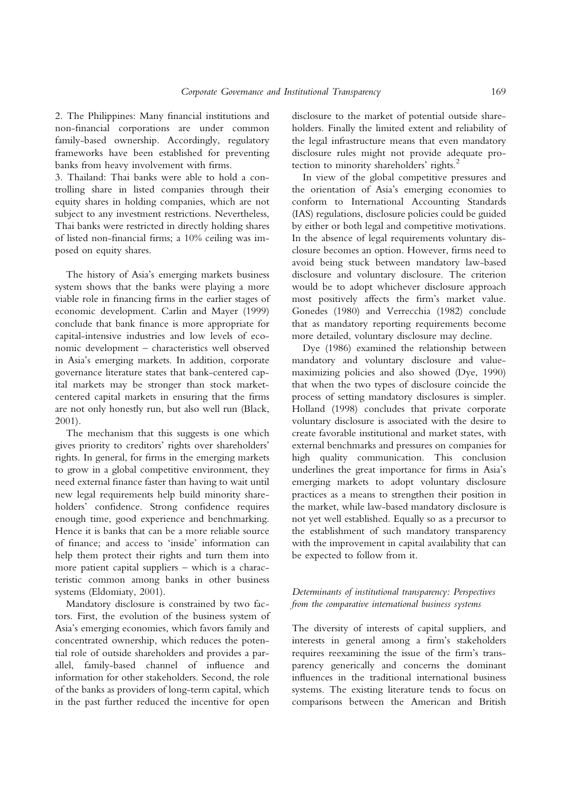2. The Philippines: Many financial institutions and non-financial corporations are under common family-based ownership. Accordingly, regulatory frameworks have been established for preventing banks from heavy involvement with firms.

3. Thailand: Thai banks were able to hold a controlling share in listed companies through their equity shares in holding companies, which are not subject to any investment restrictions. Nevertheless, Thai banks were restricted in directly holding shares of listed non-financial firms; a 10% ceiling was imposed on equity shares.

The history of Asia's emerging markets business system shows that the banks were playing a more viable role in financing firms in the earlier stages of economic development. Carlin and Mayer (1999) conclude that bank finance is more appropriate for capital-intensive industries and low levels of economic development – characteristics well observed in Asia's emerging markets. In addition, corporate governance literature states that bank-centered capital markets may be stronger than stock marketcentered capital markets in ensuring that the firms are not only honestly run, but also well run (Black, 2001).

The mechanism that this suggests is one which gives priority to creditors' rights over shareholders' rights. In general, for firms in the emerging markets to grow in a global competitive environment, they need external finance faster than having to wait until new legal requirements help build minority shareholders' confidence. Strong confidence requires enough time, good experience and benchmarking. Hence it is banks that can be a more reliable source of finance; and access to 'inside' information can help them protect their rights and turn them into more patient capital suppliers – which is a characteristic common among banks in other business systems (Eldomiaty, 2001).

Mandatory disclosure is constrained by two factors. First, the evolution of the business system of Asia's emerging economies, which favors family and concentrated ownership, which reduces the potential role of outside shareholders and provides a parallel, family-based channel of influence and information for other stakeholders. Second, the role of the banks as providers of long-term capital, which in the past further reduced the incentive for open

disclosure to the market of potential outside shareholders. Finally the limited extent and reliability of the legal infrastructure means that even mandatory disclosure rules might not provide adequate protection to minority shareholders' rights.<sup>2</sup>

In view of the global competitive pressures and the orientation of Asia's emerging economies to conform to International Accounting Standards (IAS) regulations, disclosure policies could be guided by either or both legal and competitive motivations. In the absence of legal requirements voluntary disclosure becomes an option. However, firms need to avoid being stuck between mandatory law-based disclosure and voluntary disclosure. The criterion would be to adopt whichever disclosure approach most positively affects the firm's market value. Gonedes (1980) and Verrecchia (1982) conclude that as mandatory reporting requirements become more detailed, voluntary disclosure may decline.

Dye (1986) examined the relationship between mandatory and voluntary disclosure and valuemaximizing policies and also showed (Dye, 1990) that when the two types of disclosure coincide the process of setting mandatory disclosures is simpler. Holland (1998) concludes that private corporate voluntary disclosure is associated with the desire to create favorable institutional and market states, with external benchmarks and pressures on companies for high quality communication. This conclusion underlines the great importance for firms in Asia's emerging markets to adopt voluntary disclosure practices as a means to strengthen their position in the market, while law-based mandatory disclosure is not yet well established. Equally so as a precursor to the establishment of such mandatory transparency with the improvement in capital availability that can be expected to follow from it.

## Determinants of institutional transparency: Perspectives from the comparative international business systems

The diversity of interests of capital suppliers, and interests in general among a firm's stakeholders requires reexamining the issue of the firm's transparency generically and concerns the dominant influences in the traditional international business systems. The existing literature tends to focus on comparisons between the American and British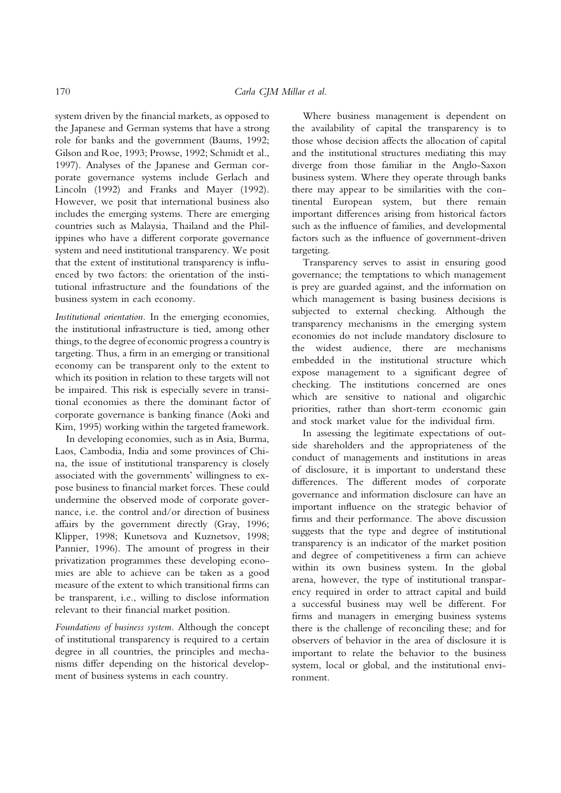system driven by the financial markets, as opposed to the Japanese and German systems that have a strong role for banks and the government (Baums, 1992; Gilson and Roe, 1993; Prowse, 1992; Schmidt et al., 1997). Analyses of the Japanese and German corporate governance systems include Gerlach and Lincoln (1992) and Franks and Mayer (1992). However, we posit that international business also includes the emerging systems. There are emerging countries such as Malaysia, Thailand and the Philippines who have a different corporate governance system and need institutional transparency. We posit that the extent of institutional transparency is influenced by two factors: the orientation of the institutional infrastructure and the foundations of the business system in each economy.

Institutional orientation. In the emerging economies, the institutional infrastructure is tied, among other things, to the degree of economic progress a country is targeting. Thus, a firm in an emerging or transitional economy can be transparent only to the extent to which its position in relation to these targets will not be impaired. This risk is especially severe in transitional economies as there the dominant factor of corporate governance is banking finance (Aoki and Kim, 1995) working within the targeted framework.

In developing economies, such as in Asia, Burma, Laos, Cambodia, India and some provinces of China, the issue of institutional transparency is closely associated with the governments' willingness to expose business to financial market forces. These could undermine the observed mode of corporate governance, i.e. the control and/or direction of business affairs by the government directly (Gray, 1996; Klipper, 1998; Kunetsova and Kuznetsov, 1998; Pannier, 1996). The amount of progress in their privatization programmes these developing economies are able to achieve can be taken as a good measure of the extent to which transitional firms can be transparent, i.e., willing to disclose information relevant to their financial market position.

Foundations of business system. Although the concept of institutional transparency is required to a certain degree in all countries, the principles and mechanisms differ depending on the historical development of business systems in each country.

Where business management is dependent on the availability of capital the transparency is to those whose decision affects the allocation of capital and the institutional structures mediating this may diverge from those familiar in the Anglo-Saxon business system. Where they operate through banks there may appear to be similarities with the continental European system, but there remain important differences arising from historical factors such as the influence of families, and developmental factors such as the influence of government-driven targeting.

Transparency serves to assist in ensuring good governance; the temptations to which management is prey are guarded against, and the information on which management is basing business decisions is subjected to external checking. Although the transparency mechanisms in the emerging system economies do not include mandatory disclosure to the widest audience, there are mechanisms embedded in the institutional structure which expose management to a significant degree of checking. The institutions concerned are ones which are sensitive to national and oligarchic priorities, rather than short-term economic gain and stock market value for the individual firm.

In assessing the legitimate expectations of outside shareholders and the appropriateness of the conduct of managements and institutions in areas of disclosure, it is important to understand these differences. The different modes of corporate governance and information disclosure can have an important influence on the strategic behavior of firms and their performance. The above discussion suggests that the type and degree of institutional transparency is an indicator of the market position and degree of competitiveness a firm can achieve within its own business system. In the global arena, however, the type of institutional transparency required in order to attract capital and build a successful business may well be different. For firms and managers in emerging business systems there is the challenge of reconciling these; and for observers of behavior in the area of disclosure it is important to relate the behavior to the business system, local or global, and the institutional environment.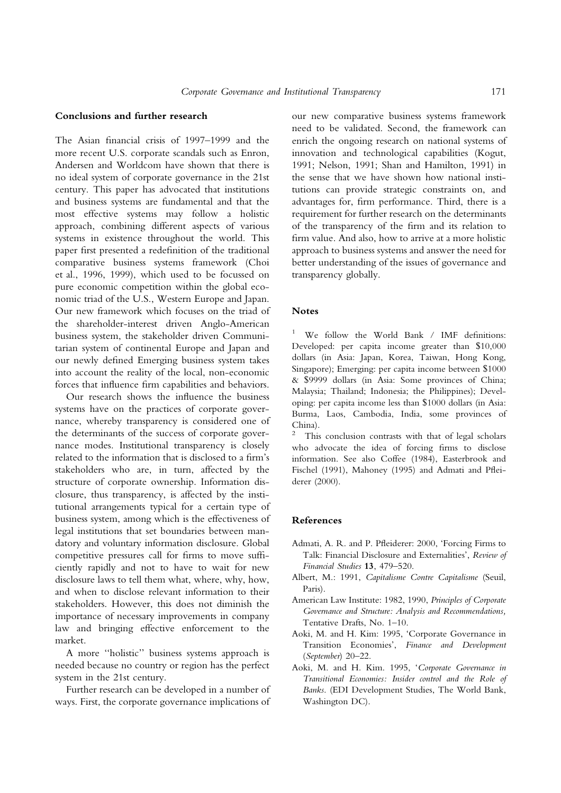#### Conclusions and further research

The Asian financial crisis of 1997–1999 and the more recent U.S. corporate scandals such as Enron, Andersen and Worldcom have shown that there is no ideal system of corporate governance in the 21st century. This paper has advocated that institutions and business systems are fundamental and that the most effective systems may follow a holistic approach, combining different aspects of various systems in existence throughout the world. This paper first presented a redefinition of the traditional comparative business systems framework (Choi et al., 1996, 1999), which used to be focussed on pure economic competition within the global economic triad of the U.S., Western Europe and Japan. Our new framework which focuses on the triad of the shareholder-interest driven Anglo-American business system, the stakeholder driven Communitarian system of continental Europe and Japan and our newly defined Emerging business system takes into account the reality of the local, non-economic forces that influence firm capabilities and behaviors.

Our research shows the influence the business systems have on the practices of corporate governance, whereby transparency is considered one of the determinants of the success of corporate governance modes. Institutional transparency is closely related to the information that is disclosed to a firm's stakeholders who are, in turn, affected by the structure of corporate ownership. Information disclosure, thus transparency, is affected by the institutional arrangements typical for a certain type of business system, among which is the effectiveness of legal institutions that set boundaries between mandatory and voluntary information disclosure. Global competitive pressures call for firms to move sufficiently rapidly and not to have to wait for new disclosure laws to tell them what, where, why, how, and when to disclose relevant information to their stakeholders. However, this does not diminish the importance of necessary improvements in company law and bringing effective enforcement to the market.

A more ''holistic'' business systems approach is needed because no country or region has the perfect system in the 21st century.

Further research can be developed in a number of ways. First, the corporate governance implications of our new comparative business systems framework need to be validated. Second, the framework can enrich the ongoing research on national systems of innovation and technological capabilities (Kogut, 1991; Nelson, 1991; Shan and Hamilton, 1991) in the sense that we have shown how national institutions can provide strategic constraints on, and advantages for, firm performance. Third, there is a requirement for further research on the determinants of the transparency of the firm and its relation to firm value. And also, how to arrive at a more holistic approach to business systems and answer the need for

#### Notes

transparency globally.

<sup>1</sup> We follow the World Bank / IMF definitions: Developed: per capita income greater than \$10,000 dollars (in Asia: Japan, Korea, Taiwan, Hong Kong, Singapore); Emerging: per capita income between \$1000 & \$9999 dollars (in Asia: Some provinces of China; Malaysia; Thailand; Indonesia; the Philippines); Developing: per capita income less than \$1000 dollars (in Asia: Burma, Laos, Cambodia, India, some provinces of China).

better understanding of the issues of governance and

This conclusion contrasts with that of legal scholars who advocate the idea of forcing firms to disclose information. See also Coffee (1984), Easterbrook and Fischel (1991), Mahoney (1995) and Admati and Pfleiderer (2000).

## References

- Admati, A. R. and P. Pfleiderer: 2000, 'Forcing Firms to Talk: Financial Disclosure and Externalities', Review of Financial Studies 13, 479–520.
- Albert, M.: 1991, Capitalisme Contre Capitalisme (Seuil, Paris).
- American Law Institute: 1982, 1990, Principles of Corporate Governance and Structure: Analysis and Recommendations, Tentative Drafts, No. 1–10.
- Aoki, M. and H. Kim: 1995, 'Corporate Governance in Transition Economies', Finance and Development (September) 20–22.
- Aoki, M. and H. Kim. 1995, 'Corporate Governance in Transitional Economies: Insider control and the Role of Banks. (EDI Development Studies, The World Bank, Washington DC).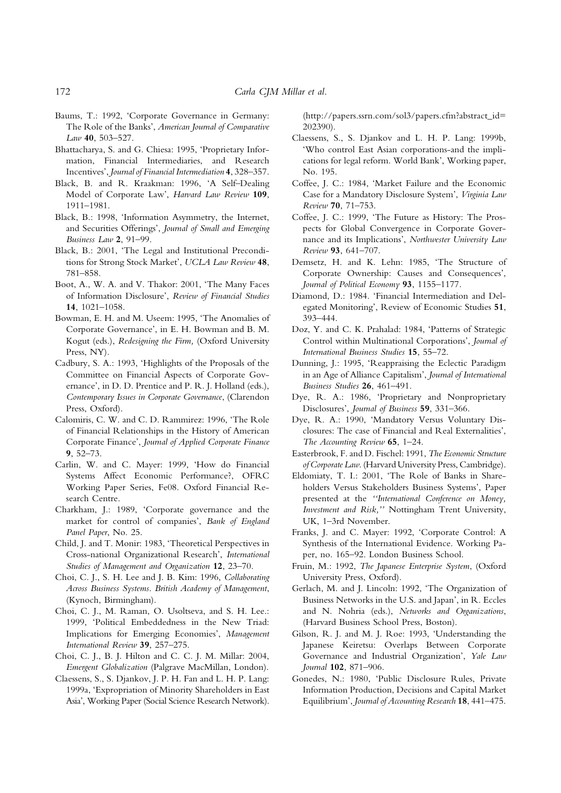- Baums, T.: 1992, 'Corporate Governance in Germany: The Role of the Banks', American Journal of Comparative Law 40, 503–527.
- Bhattacharya, S. and G. Chiesa: 1995, 'Proprietary Information, Financial Intermediaries, and Research Incentives', Journal of Financial Intermediation 4, 328–357.
- Black, B. and R. Kraakman: 1996, 'A Self–Dealing Model of Corporate Law', Harvard Law Review 109, 1911–1981.
- Black, B.: 1998, 'Information Asymmetry, the Internet, and Securities Offerings', Journal of Small and Emerging Business Law 2, 91–99.
- Black, B.: 2001, 'The Legal and Institutional Preconditions for Strong Stock Market', UCLA Law Review 48, 781–858.
- Boot, A., W. A. and V. Thakor: 2001, 'The Many Faces of Information Disclosure', Review of Financial Studies 14, 1021–1058.
- Bowman, E. H. and M. Useem: 1995, 'The Anomalies of Corporate Governance', in E. H. Bowman and B. M. Kogut (eds.), Redesigning the Firm, (Oxford University Press, NY).
- Cadbury, S. A.: 1993, 'Highlights of the Proposals of the Committee on Financial Aspects of Corporate Governance', in D. D. Prentice and P. R. J. Holland (eds.), Contemporary Issues in Corporate Governance, (Clarendon Press, Oxford).
- Calomiris, C. W. and C. D. Rammirez: 1996, 'The Role of Financial Relationships in the History of American Corporate Finance', Journal of Applied Corporate Finance 9, 52–73.
- Carlin, W. and C. Mayer: 1999, 'How do Financial Systems Affect Economic Performance?, OFRC Working Paper Series, Fe08. Oxford Financial Research Centre.
- Charkham, J.: 1989, 'Corporate governance and the market for control of companies', Bank of England Panel Paper, No. 25.
- Child, J. and T. Monir: 1983, 'Theoretical Perspectives in Cross-national Organizational Research', International Studies of Management and Organization 12, 23–70.
- Choi, C. J., S. H. Lee and J. B. Kim: 1996, Collaborating Across Business Systems. British Academy of Management, (Kynoch, Birmingham).
- Choi, C. J., M. Raman, O. Usoltseva, and S. H. Lee.: 1999, 'Political Embeddedness in the New Triad: Implications for Emerging Economies', Management International Review 39, 257–275.
- Choi, C. J., B. J. Hilton and C. C. J. M. Millar: 2004, Emergent Globalization (Palgrave MacMillan, London).
- Claessens, S., S. Djankov, J. P. H. Fan and L. H. P. Lang: 1999a, 'Expropriation of Minority Shareholders in East Asia', Working Paper (Social Science Research Network).

(http://papers.ssrn.com/sol3/papers.cfm?abstract\_id= 202390).

- Claessens, S., S. Djankov and L. H. P. Lang: 1999b, 'Who control East Asian corporations-and the implications for legal reform. World Bank', Working paper, No. 195.
- Coffee, J. C.: 1984, 'Market Failure and the Economic Case for a Mandatory Disclosure System', Virginia Law Review 70, 71–753.
- Coffee, J. C.: 1999, 'The Future as History: The Prospects for Global Convergence in Corporate Governance and its Implications', Northwester University Law Review 93, 641–707.
- Demsetz, H. and K. Lehn: 1985, 'The Structure of Corporate Ownership: Causes and Consequences', Journal of Political Economy 93, 1155–1177.
- Diamond, D.: 1984. 'Financial Intermediation and Delegated Monitoring', Review of Economic Studies 51, 393–444.
- Doz, Y. and C. K. Prahalad: 1984, 'Patterns of Strategic Control within Multinational Corporations', Journal of International Business Studies 15, 55–72.
- Dunning, J.: 1995, 'Reappraising the Eclectic Paradigm in an Age of Alliance Capitalism', Journal of International Business Studies 26, 461–491.
- Dye, R. A.: 1986, 'Proprietary and Nonproprietary Disclosures', Journal of Business 59, 331–366.
- Dye, R. A.: 1990, 'Mandatory Versus Voluntary Disclosures: The case of Financial and Real Externalities', The Accounting Review 65, 1-24.
- Easterbrook, F. and D. Fischel: 1991, The Economic Structure of Corporate Law. (Harvard University Press, Cambridge).
- Eldomiaty, T. I.: 2001, 'The Role of Banks in Shareholders Versus Stakeholders Business Systems', Paper presented at the ''International Conference on Money, Investment and Risk,'' Nottingham Trent University, UK, 1–3rd November.
- Franks, J. and C. Mayer: 1992, 'Corporate Control: A Synthesis of the International Evidence. Working Paper, no. 165–92. London Business School.
- Fruin, M.: 1992, The Japanese Enterprise System, (Oxford University Press, Oxford).
- Gerlach, M. and J. Lincoln: 1992, 'The Organization of Business Networks in the U.S. and Japan', in R. Eccles and N. Nohria (eds.), Networks and Organizations, (Harvard Business School Press, Boston).
- Gilson, R. J. and M. J. Roe: 1993, 'Understanding the Japanese Keiretsu: Overlaps Between Corporate Governance and Industrial Organization', Yale Law Journal 102, 871–906.
- Gonedes, N.: 1980, 'Public Disclosure Rules, Private Information Production, Decisions and Capital Market Equilibrium', Journal of Accounting Research 18, 441–475.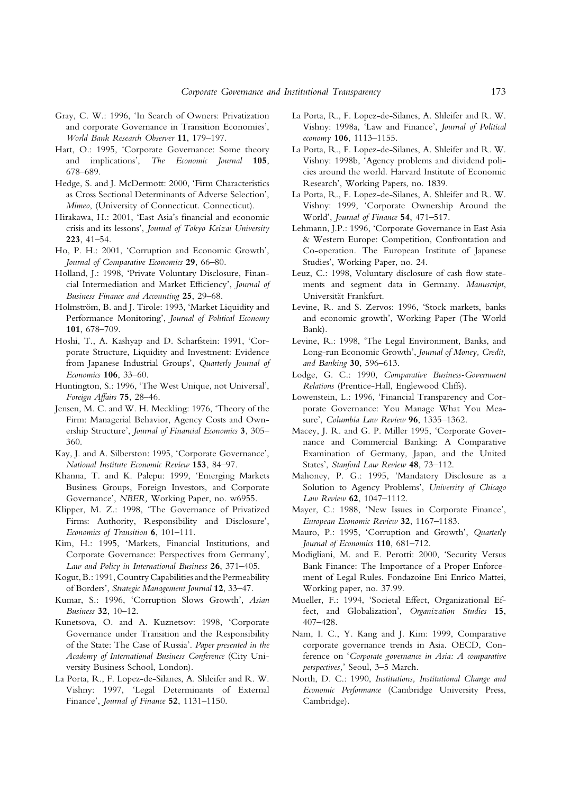- Gray, C. W.: 1996, 'In Search of Owners: Privatization and corporate Governance in Transition Economies', World Bank Research Observer 11, 179–197.
- Hart, O.: 1995, 'Corporate Governance: Some theory and implications', The Economic Journal 105, 678–689.
- Hedge, S. and J. McDermott: 2000, 'Firm Characteristics as Cross Sectional Determinants of Adverse Selection', Mimeo, (University of Connecticut. Connecticut).
- Hirakawa, H.: 2001, 'East Asia's financial and economic crisis and its lessons', Journal of Tokyo Keizai University 223, 41–54.
- Ho, P. H.: 2001, 'Corruption and Economic Growth', Journal of Comparative Economics 29, 66–80.
- Holland, J.: 1998, 'Private Voluntary Disclosure, Financial Intermediation and Market Efficiency', Journal of Business Finance and Accounting 25, 29–68.
- Holmström, B. and J. Tirole: 1993, 'Market Liquidity and Performance Monitoring', Journal of Political Economy 101, 678–709.
- Hoshi, T., A. Kashyap and D. Scharfstein: 1991, 'Corporate Structure, Liquidity and Investment: Evidence from Japanese Industrial Groups', Quarterly Journal of Economics 106, 33–60.
- Huntington, S.: 1996, 'The West Unique, not Universal', Foreign Affairs 75, 28–46.
- Jensen, M. C. and W. H. Meckling: 1976, 'Theory of the Firm: Managerial Behavior, Agency Costs and Ownership Structure', Journal of Financial Economics 3, 305-360.
- Kay, J. and A. Silberston: 1995, 'Corporate Governance', National Institute Economic Review 153, 84–97.
- Khanna, T. and K. Palepu: 1999, 'Emerging Markets Business Groups, Foreign Investors, and Corporate Governance', NBER, Working Paper, no. w6955.
- Klipper, M. Z.: 1998, 'The Governance of Privatized Firms: Authority, Responsibility and Disclosure', Economics of Transition 6, 101-111.
- Kim, H.: 1995, 'Markets, Financial Institutions, and Corporate Governance: Perspectives from Germany', Law and Policy in International Business 26, 371-405.
- Kogut, B.: 1991, Country Capabilities and the Permeability of Borders', Strategic Management Journal 12, 33–47.
- Kumar, S.: 1996, 'Corruption Slows Growth', Asian Business 32, 10–12.
- Kunetsova, O. and A. Kuznetsov: 1998, 'Corporate Governance under Transition and the Responsibility of the State: The Case of Russia'. Paper presented in the Academy of International Business Conference (City University Business School, London).
- La Porta, R., F. Lopez-de-Silanes, A. Shleifer and R. W. Vishny: 1997, 'Legal Determinants of External Finance', Journal of Finance 52, 1131–1150.
- La Porta, R., F. Lopez-de-Silanes, A. Shleifer and R. W. Vishny: 1998a, 'Law and Finance', Journal of Political economy 106, 1113–1155.
- La Porta, R., F. Lopez-de-Silanes, A. Shleifer and R. W. Vishny: 1998b, 'Agency problems and dividend policies around the world. Harvard Institute of Economic Research', Working Papers, no. 1839.
- La Porta, R., F. Lopez-de-Silanes, A. Shleifer and R. W. Vishny: 1999, 'Corporate Ownership Around the World', Journal of Finance 54, 471–517.
- Lehmann, J.P.: 1996, 'Corporate Governance in East Asia & Western Europe: Competition, Confrontation and Co-operation. The European Institute of Japanese Studies', Working Paper, no. 24.
- Leuz, C.: 1998, Voluntary disclosure of cash flow statements and segment data in Germany. Manuscript, Universität Frankfurt.
- Levine, R. and S. Zervos: 1996, 'Stock markets, banks and economic growth', Working Paper (The World Bank).
- Levine, R.: 1998, 'The Legal Environment, Banks, and Long-run Economic Growth', Journal of Money, Credit, and Banking 30, 596–613.
- Lodge, G. C.: 1990, Comparative Business-Government Relations (Prentice-Hall, Englewood Cliffs).
- Lowenstein, L.: 1996, 'Financial Transparency and Corporate Governance: You Manage What You Measure', Columbia Law Review 96, 1335–1362.
- Macey, J. R. and G. P. Miller 1995, 'Corporate Governance and Commercial Banking: A Comparative Examination of Germany, Japan, and the United States', Stanford Law Review 48, 73-112.
- Mahoney, P. G.: 1995, 'Mandatory Disclosure as a Solution to Agency Problems', University of Chicago Law Review 62, 1047–1112.
- Mayer, C.: 1988, 'New Issues in Corporate Finance', European Economic Review 32, 1167–1183.
- Mauro, P.: 1995, 'Corruption and Growth', Quarterly Journal of Economics 110, 681–712.
- Modigliani, M. and E. Perotti: 2000, 'Security Versus Bank Finance: The Importance of a Proper Enforcement of Legal Rules. Fondazoine Eni Enrico Mattei, Working paper, no. 37.99.
- Mueller, F.: 1994, 'Societal Effect, Organizational Effect, and Globalization', Organization Studies 15, 407–428.
- Nam, I. C., Y. Kang and J. Kim: 1999, Comparative corporate governance trends in Asia. OECD, Conference on 'Corporate governance in Asia: A comparative perspectives,' Seoul, 3–5 March.
- North, D. C.: 1990, Institutions, Institutional Change and Economic Performance (Cambridge University Press, Cambridge).